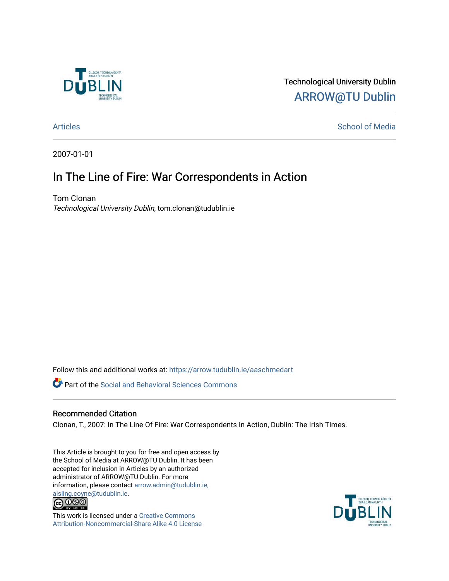

Technological University Dublin [ARROW@TU Dublin](https://arrow.tudublin.ie/) 

## [Articles](https://arrow.tudublin.ie/aaschmedart) **School of Media**

2007-01-01

## In The Line of Fire: War Correspondents in Action

Tom Clonan Technological University Dublin, tom.clonan@tudublin.ie

Follow this and additional works at: [https://arrow.tudublin.ie/aaschmedart](https://arrow.tudublin.ie/aaschmedart?utm_source=arrow.tudublin.ie%2Faaschmedart%2F66&utm_medium=PDF&utm_campaign=PDFCoverPages) 

**P** Part of the Social and Behavioral Sciences Commons

## Recommended Citation

Clonan, T., 2007: In The Line Of Fire: War Correspondents In Action, Dublin: The Irish Times.

This Article is brought to you for free and open access by the School of Media at ARROW@TU Dublin. It has been accepted for inclusion in Articles by an authorized administrator of ARROW@TU Dublin. For more information, please contact [arrow.admin@tudublin.ie,](mailto:arrow.admin@tudublin.ie,%20aisling.coyne@tudublin.ie)  [aisling.coyne@tudublin.ie.](mailto:arrow.admin@tudublin.ie,%20aisling.coyne@tudublin.ie)<br>  $\bigodot$  0 9 0



This work is licensed under a [Creative Commons](http://creativecommons.org/licenses/by-nc-sa/4.0/) [Attribution-Noncommercial-Share Alike 4.0 License](http://creativecommons.org/licenses/by-nc-sa/4.0/)

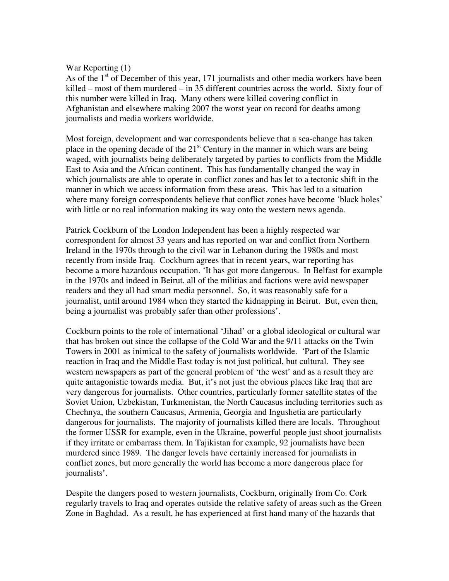## War Reporting (1)

As of the  $1<sup>st</sup>$  of December of this year, 171 journalists and other media workers have been killed – most of them murdered – in 35 different countries across the world. Sixty four of this number were killed in Iraq. Many others were killed covering conflict in Afghanistan and elsewhere making 2007 the worst year on record for deaths among journalists and media workers worldwide.

Most foreign, development and war correspondents believe that a sea-change has taken place in the opening decade of the  $21<sup>st</sup>$  Century in the manner in which wars are being waged, with journalists being deliberately targeted by parties to conflicts from the Middle East to Asia and the African continent. This has fundamentally changed the way in which journalists are able to operate in conflict zones and has let to a tectonic shift in the manner in which we access information from these areas. This has led to a situation where many foreign correspondents believe that conflict zones have become 'black holes' with little or no real information making its way onto the western news agenda.

Patrick Cockburn of the London Independent has been a highly respected war correspondent for almost 33 years and has reported on war and conflict from Northern Ireland in the 1970s through to the civil war in Lebanon during the 1980s and most recently from inside Iraq. Cockburn agrees that in recent years, war reporting has become a more hazardous occupation. 'It has got more dangerous. In Belfast for example in the 1970s and indeed in Beirut, all of the militias and factions were avid newspaper readers and they all had smart media personnel. So, it was reasonably safe for a journalist, until around 1984 when they started the kidnapping in Beirut. But, even then, being a journalist was probably safer than other professions'.

Cockburn points to the role of international 'Jihad' or a global ideological or cultural war that has broken out since the collapse of the Cold War and the 9/11 attacks on the Twin Towers in 2001 as inimical to the safety of journalists worldwide. 'Part of the Islamic reaction in Iraq and the Middle East today is not just political, but cultural. They see western newspapers as part of the general problem of 'the west' and as a result they are quite antagonistic towards media. But, it's not just the obvious places like Iraq that are very dangerous for journalists. Other countries, particularly former satellite states of the Soviet Union, Uzbekistan, Turkmenistan, the North Caucasus including territories such as Chechnya, the southern Caucasus, Armenia, Georgia and Ingushetia are particularly dangerous for journalists. The majority of journalists killed there are locals. Throughout the former USSR for example, even in the Ukraine, powerful people just shoot journalists if they irritate or embarrass them. In Tajikistan for example, 92 journalists have been murdered since 1989. The danger levels have certainly increased for journalists in conflict zones, but more generally the world has become a more dangerous place for journalists'.

Despite the dangers posed to western journalists, Cockburn, originally from Co. Cork regularly travels to Iraq and operates outside the relative safety of areas such as the Green Zone in Baghdad. As a result, he has experienced at first hand many of the hazards that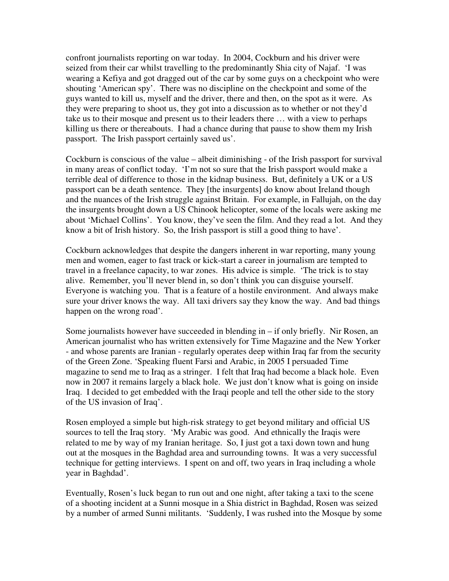confront journalists reporting on war today. In 2004, Cockburn and his driver were seized from their car whilst travelling to the predominantly Shia city of Najaf. 'I was wearing a Kefiya and got dragged out of the car by some guys on a checkpoint who were shouting 'American spy'. There was no discipline on the checkpoint and some of the guys wanted to kill us, myself and the driver, there and then, on the spot as it were. As they were preparing to shoot us, they got into a discussion as to whether or not they'd take us to their mosque and present us to their leaders there … with a view to perhaps killing us there or thereabouts. I had a chance during that pause to show them my Irish passport. The Irish passport certainly saved us'.

Cockburn is conscious of the value – albeit diminishing - of the Irish passport for survival in many areas of conflict today. 'I'm not so sure that the Irish passport would make a terrible deal of difference to those in the kidnap business. But, definitely a UK or a US passport can be a death sentence. They [the insurgents] do know about Ireland though and the nuances of the Irish struggle against Britain. For example, in Fallujah, on the day the insurgents brought down a US Chinook helicopter, some of the locals were asking me about 'Michael Collins'. You know, they've seen the film. And they read a lot. And they know a bit of Irish history. So, the Irish passport is still a good thing to have'.

Cockburn acknowledges that despite the dangers inherent in war reporting, many young men and women, eager to fast track or kick-start a career in journalism are tempted to travel in a freelance capacity, to war zones. His advice is simple. 'The trick is to stay alive. Remember, you'll never blend in, so don't think you can disguise yourself. Everyone is watching you. That is a feature of a hostile environment. And always make sure your driver knows the way. All taxi drivers say they know the way. And bad things happen on the wrong road'.

Some journalists however have succeeded in blending in  $-$  if only briefly. Nir Rosen, an American journalist who has written extensively for Time Magazine and the New Yorker - and whose parents are Iranian - regularly operates deep within Iraq far from the security of the Green Zone. 'Speaking fluent Farsi and Arabic, in 2005 I persuaded Time magazine to send me to Iraq as a stringer. I felt that Iraq had become a black hole. Even now in 2007 it remains largely a black hole. We just don't know what is going on inside Iraq. I decided to get embedded with the Iraqi people and tell the other side to the story of the US invasion of Iraq'.

Rosen employed a simple but high-risk strategy to get beyond military and official US sources to tell the Iraq story. 'My Arabic was good. And ethnically the Iraqis were related to me by way of my Iranian heritage. So, I just got a taxi down town and hung out at the mosques in the Baghdad area and surrounding towns. It was a very successful technique for getting interviews. I spent on and off, two years in Iraq including a whole year in Baghdad'.

Eventually, Rosen's luck began to run out and one night, after taking a taxi to the scene of a shooting incident at a Sunni mosque in a Shia district in Baghdad, Rosen was seized by a number of armed Sunni militants. 'Suddenly, I was rushed into the Mosque by some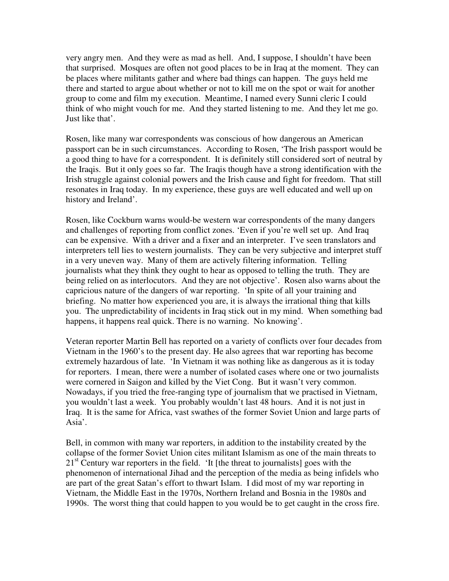very angry men. And they were as mad as hell. And, I suppose, I shouldn't have been that surprised. Mosques are often not good places to be in Iraq at the moment. They can be places where militants gather and where bad things can happen. The guys held me there and started to argue about whether or not to kill me on the spot or wait for another group to come and film my execution. Meantime, I named every Sunni cleric I could think of who might vouch for me. And they started listening to me. And they let me go. Just like that'.

Rosen, like many war correspondents was conscious of how dangerous an American passport can be in such circumstances. According to Rosen, 'The Irish passport would be a good thing to have for a correspondent. It is definitely still considered sort of neutral by the Iraqis. But it only goes so far. The Iraqis though have a strong identification with the Irish struggle against colonial powers and the Irish cause and fight for freedom. That still resonates in Iraq today. In my experience, these guys are well educated and well up on history and Ireland'.

Rosen, like Cockburn warns would-be western war correspondents of the many dangers and challenges of reporting from conflict zones. 'Even if you're well set up. And Iraq can be expensive. With a driver and a fixer and an interpreter. I've seen translators and interpreters tell lies to western journalists. They can be very subjective and interpret stuff in a very uneven way. Many of them are actively filtering information. Telling journalists what they think they ought to hear as opposed to telling the truth. They are being relied on as interlocutors. And they are not objective'. Rosen also warns about the capricious nature of the dangers of war reporting. 'In spite of all your training and briefing. No matter how experienced you are, it is always the irrational thing that kills you. The unpredictability of incidents in Iraq stick out in my mind. When something bad happens, it happens real quick. There is no warning. No knowing'.

Veteran reporter Martin Bell has reported on a variety of conflicts over four decades from Vietnam in the 1960's to the present day. He also agrees that war reporting has become extremely hazardous of late. 'In Vietnam it was nothing like as dangerous as it is today for reporters. I mean, there were a number of isolated cases where one or two journalists were cornered in Saigon and killed by the Viet Cong. But it wasn't very common. Nowadays, if you tried the free-ranging type of journalism that we practised in Vietnam, you wouldn't last a week. You probably wouldn't last 48 hours. And it is not just in Iraq. It is the same for Africa, vast swathes of the former Soviet Union and large parts of Asia'.

Bell, in common with many war reporters, in addition to the instability created by the collapse of the former Soviet Union cites militant Islamism as one of the main threats to  $21<sup>st</sup>$  Century war reporters in the field. 'It [the threat to journalists] goes with the phenomenon of international Jihad and the perception of the media as being infidels who are part of the great Satan's effort to thwart Islam. I did most of my war reporting in Vietnam, the Middle East in the 1970s, Northern Ireland and Bosnia in the 1980s and 1990s. The worst thing that could happen to you would be to get caught in the cross fire.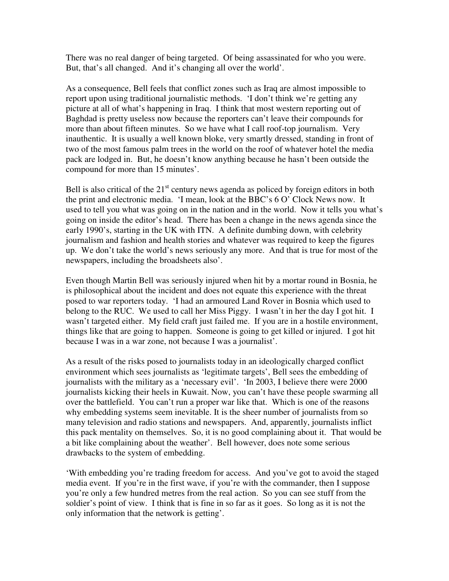There was no real danger of being targeted. Of being assassinated for who you were. But, that's all changed. And it's changing all over the world'.

As a consequence, Bell feels that conflict zones such as Iraq are almost impossible to report upon using traditional journalistic methods. 'I don't think we're getting any picture at all of what's happening in Iraq. I think that most western reporting out of Baghdad is pretty useless now because the reporters can't leave their compounds for more than about fifteen minutes. So we have what I call roof-top journalism. Very inauthentic. It is usually a well known bloke, very smartly dressed, standing in front of two of the most famous palm trees in the world on the roof of whatever hotel the media pack are lodged in. But, he doesn't know anything because he hasn't been outside the compound for more than 15 minutes'.

Bell is also critical of the  $21<sup>st</sup>$  century news agenda as policed by foreign editors in both the print and electronic media. 'I mean, look at the BBC's 6 O' Clock News now. It used to tell you what was going on in the nation and in the world. Now it tells you what's going on inside the editor's head. There has been a change in the news agenda since the early 1990's, starting in the UK with ITN. A definite dumbing down, with celebrity journalism and fashion and health stories and whatever was required to keep the figures up. We don't take the world's news seriously any more. And that is true for most of the newspapers, including the broadsheets also'.

Even though Martin Bell was seriously injured when hit by a mortar round in Bosnia, he is philosophical about the incident and does not equate this experience with the threat posed to war reporters today. 'I had an armoured Land Rover in Bosnia which used to belong to the RUC. We used to call her Miss Piggy. I wasn't in her the day I got hit. I wasn't targeted either. My field craft just failed me. If you are in a hostile environment, things like that are going to happen. Someone is going to get killed or injured. I got hit because I was in a war zone, not because I was a journalist'.

As a result of the risks posed to journalists today in an ideologically charged conflict environment which sees journalists as 'legitimate targets', Bell sees the embedding of journalists with the military as a 'necessary evil'. 'In 2003, I believe there were 2000 journalists kicking their heels in Kuwait. Now, you can't have these people swarming all over the battlefield. You can't run a proper war like that. Which is one of the reasons why embedding systems seem inevitable. It is the sheer number of journalists from so many television and radio stations and newspapers. And, apparently, journalists inflict this pack mentality on themselves. So, it is no good complaining about it. That would be a bit like complaining about the weather'. Bell however, does note some serious drawbacks to the system of embedding.

'With embedding you're trading freedom for access. And you've got to avoid the staged media event. If you're in the first wave, if you're with the commander, then I suppose you're only a few hundred metres from the real action. So you can see stuff from the soldier's point of view. I think that is fine in so far as it goes. So long as it is not the only information that the network is getting'.